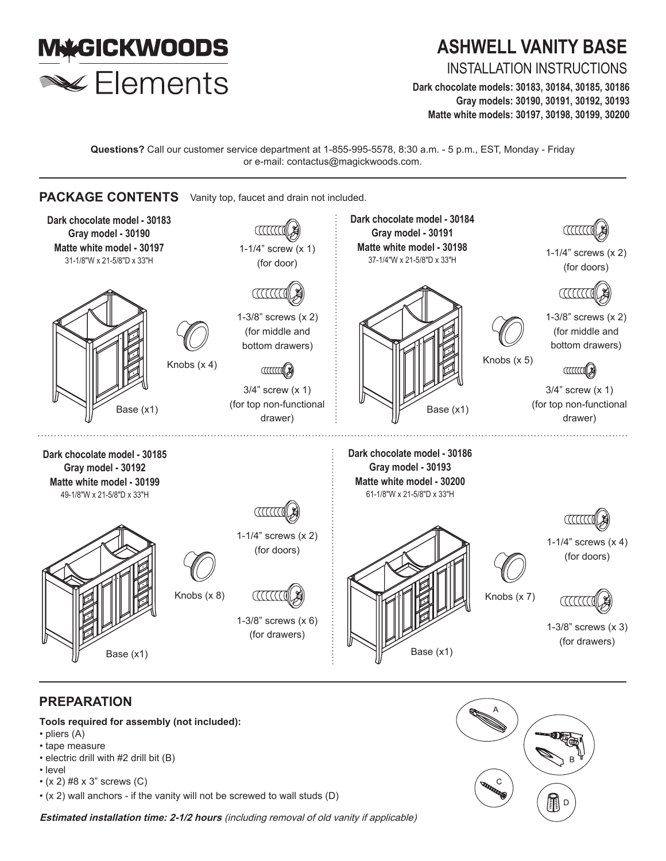

# **ASHWELL VANITY BASE**

INSTALLATION INSTRUCTIONS

**Dark chocolate models: 30183, 30184, 30185, 30186 Gray models: 30190, 30191, 30192, 30193 Matte white models: 30197, 30198, 30199, 30200** 

**Questions?** Call our customer service department at 1-855-995-5578, 8:30 a.m. - 5 p.m., EST, Monday - Friday or e-mail: contactus@magickwoods.com.



# **PREPARATION**

**Tools required for assembly (not included):**

- pliers (A)
- tape measure
- electric drill with #2 drill bit (B)
- level
- (x 2) #8 x 3" screws (C)
- (x 2) wall anchors if the vanity will not be screwed to wall studs (D)

**Estimated installation time: 2-1/2 hours** (including removal of old vanity if applicable)

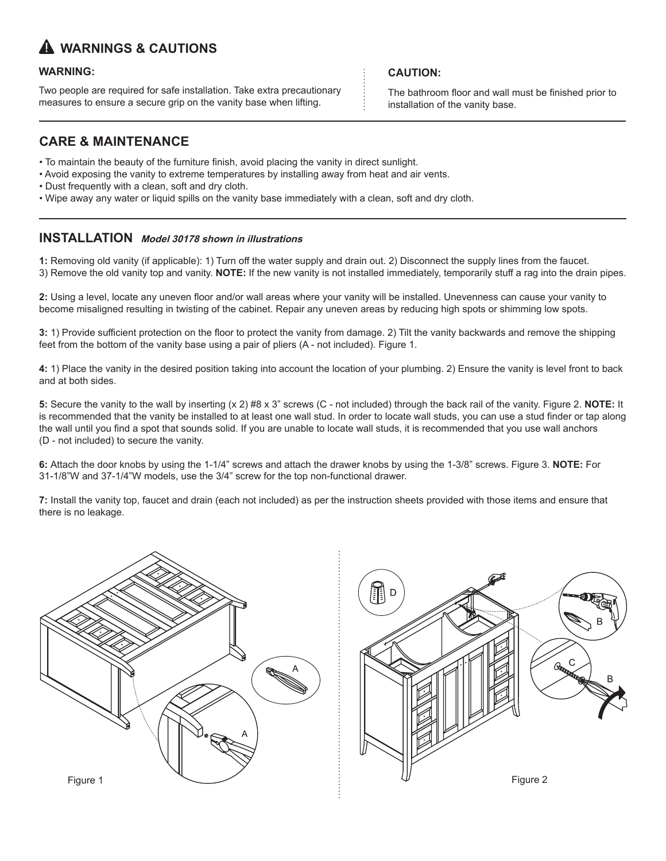# **WARNINGS & CAUTIONS**

## **WARNING:**

Two people are required for safe installation. Take extra precautionary measures to ensure a secure grip on the vanity base when lifting.

## **CARE & MAINTENANCE**

- To maintain the beauty of the furniture finish, avoid placing the vanity in direct sunlight.
- Avoid exposing the vanity to extreme temperatures by installing away from heat and air vents.
- Dust frequently with a clean, soft and dry cloth.
- Wipe away any water or liquid spills on the vanity base immediately with a clean, soft and dry cloth.

## **INSTALLATION Model 30178 shown in illustrations**

**1:** Removing old vanity (if applicable): 1) Turn off the water supply and drain out. 2) Disconnect the supply lines from the faucet. 3) Remove the old vanity top and vanity. **NOTE:** If the new vanity is not installed immediately, temporarily stuff a rag into the drain pipes.

**2:** Using a level, locate any uneven floor and/or wall areas where your vanity will be installed. Unevenness can cause your vanity to become misaligned resulting in twisting of the cabinet. Repair any uneven areas by reducing high spots or shimming low spots.

**3:** 1) Provide sufficient protection on the floor to protect the vanity from damage. 2) Tilt the vanity backwards and remove the shipping feet from the bottom of the vanity base using a pair of pliers (A - not included). Figure 1.

**4:** 1) Place the vanity in the desired position taking into account the location of your plumbing. 2) Ensure the vanity is level front to back and at both sides.

**5:** Secure the vanity to the wall by inserting (x 2) #8 x 3" screws (C - not included) through the back rail of the vanity. Figure 2. **NOTE:** It is recommended that the vanity be installed to at least one wall stud. In order to locate wall studs, you can use a stud finder or tap along the wall until you find a spot that sounds solid. If you are unable to locate wall studs, it is recommended that you use wall anchors (D - not included) to secure the vanity.

**6:** Attach the door knobs by using the 1-1/4" screws and attach the drawer knobs by using the 1-3/8" screws. Figure 3. **NOTE:** For 31-1/8"W and 37-1/4"W models, use the 3/4" screw for the top non-functional drawer.

**7:** Install the vanity top, faucet and drain (each not included) as per the instruction sheets provided with those items and ensure that there is no leakage.





**CAUTION:** 

The bathroom floor and wall must be finished prior to installation of the vanity base.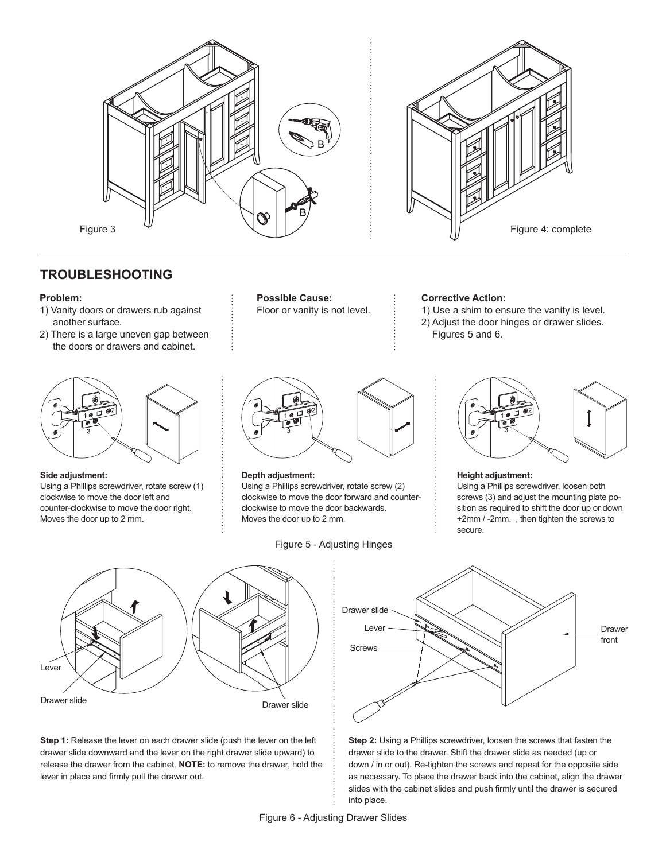



## **TROUBLESHOOTING**

#### **Problem:**

- 1) Vanity doors or drawers rub against another surface.
- 2) There is a large uneven gap between the doors or drawers and cabinet.



#### **Side adjustment:**

Using a Phillips screwdriver, rotate screw (1) clockwise to move the door left and counter-clockwise to move the door right. Moves the door up to 2 mm.



Floor or vanity is not level.

#### **Corrective Action:**

1) Use a shim to ensure the vanity is level. 2) Adjust the door hinges or drawer slides. Figures 5 and 6.



#### **Depth adjustment:**

Using a Phillips screwdriver, rotate screw (2) clockwise to move the door forward and counterclockwise to move the door backwards. Moves the door up to 2 mm.

Figure 5 - Adjusting Hinges



#### **Height adjustment:**

Using a Phillips screwdriver, loosen both screws (3) and adjust the mounting plate position as required to shift the door up or down +2mm / -2mm. , then tighten the screws to secure.



**Step 1:** Release the lever on each drawer slide (push the lever on the left drawer slide downward and the lever on the right drawer slide upward) to release the drawer from the cabinet. **NOTE:** to remove the drawer, hold the lever in place and firmly pull the drawer out.



**Step 2:** Using a Phillips screwdriver, loosen the screws that fasten the drawer slide to the drawer. Shift the drawer slide as needed (up or down / in or out). Re-tighten the screws and repeat for the opposite side as necessary. To place the drawer back into the cabinet, align the drawer slides with the cabinet slides and push firmly until the drawer is secured into place.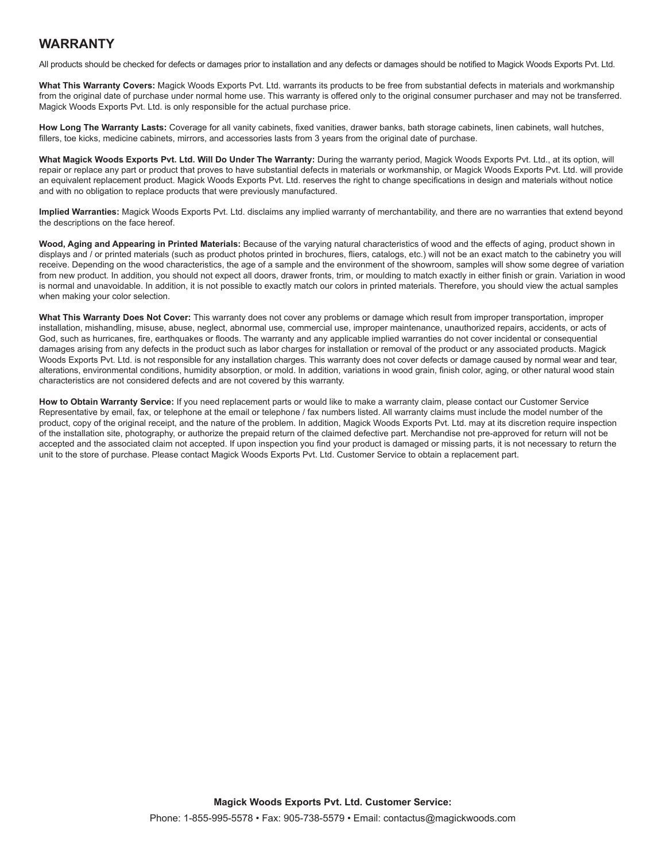## **WARRANTY**

All products should be checked for defects or damages prior to installation and any defects or damages should be notified to Magick Woods Exports Pvt. Ltd.

**What This Warranty Covers:** Magick Woods Exports Pvt. Ltd. warrants its products to be free from substantial defects in materials and workmanship from the original date of purchase under normal home use. This warranty is offered only to the original consumer purchaser and may not be transferred. Magick Woods Exports Pvt. Ltd. is only responsible for the actual purchase price.

**How Long The Warranty Lasts:** Coverage for all vanity cabinets, fixed vanities, drawer banks, bath storage cabinets, linen cabinets, wall hutches, fillers, toe kicks, medicine cabinets, mirrors, and accessories lasts from 3 years from the original date of purchase.

**What Magick Woods Exports Pvt. Ltd. Will Do Under The Warranty:** During the warranty period, Magick Woods Exports Pvt. Ltd., at its option, will repair or replace any part or product that proves to have substantial defects in materials or workmanship, or Magick Woods Exports Pvt. Ltd. will provide an equivalent replacement product. Magick Woods Exports Pvt. Ltd. reserves the right to change specifications in design and materials without notice and with no obligation to replace products that were previously manufactured.

**Implied Warranties:** Magick Woods Exports Pvt. Ltd. disclaims any implied warranty of merchantability, and there are no warranties that extend beyond the descriptions on the face hereof.

**Wood, Aging and Appearing in Printed Materials:** Because of the varying natural characteristics of wood and the effects of aging, product shown in displays and / or printed materials (such as product photos printed in brochures, fliers, catalogs, etc.) will not be an exact match to the cabinetry you will receive. Depending on the wood characteristics, the age of a sample and the environment of the showroom, samples will show some degree of variation from new product. In addition, you should not expect all doors, drawer fronts, trim, or moulding to match exactly in either finish or grain. Variation in wood is normal and unavoidable. In addition, it is not possible to exactly match our colors in printed materials. Therefore, you should view the actual samples when making your color selection.

**What This Warranty Does Not Cover:** This warranty does not cover any problems or damage which result from improper transportation, improper installation, mishandling, misuse, abuse, neglect, abnormal use, commercial use, improper maintenance, unauthorized repairs, accidents, or acts of God, such as hurricanes, fire, earthquakes or floods. The warranty and any applicable implied warranties do not cover incidental or consequential damages arising from any defects in the product such as labor charges for installation or removal of the product or any associated products. Magick Woods Exports Pvt. Ltd. is not responsible for any installation charges. This warranty does not cover defects or damage caused by normal wear and tear, alterations, environmental conditions, humidity absorption, or mold. In addition, variations in wood grain, finish color, aging, or other natural wood stain characteristics are not considered defects and are not covered by this warranty.

**How to Obtain Warranty Service:** If you need replacement parts or would like to make a warranty claim, please contact our Customer Service Representative by email, fax, or telephone at the email or telephone / fax numbers listed. All warranty claims must include the model number of the product, copy of the original receipt, and the nature of the problem. In addition, Magick Woods Exports Pvt. Ltd. may at its discretion require inspection of the installation site, photography, or authorize the prepaid return of the claimed defective part. Merchandise not pre-approved for return will not be accepted and the associated claim not accepted. If upon inspection you find your product is damaged or missing parts, it is not necessary to return the unit to the store of purchase. Please contact Magick Woods Exports Pvt. Ltd. Customer Service to obtain a replacement part.